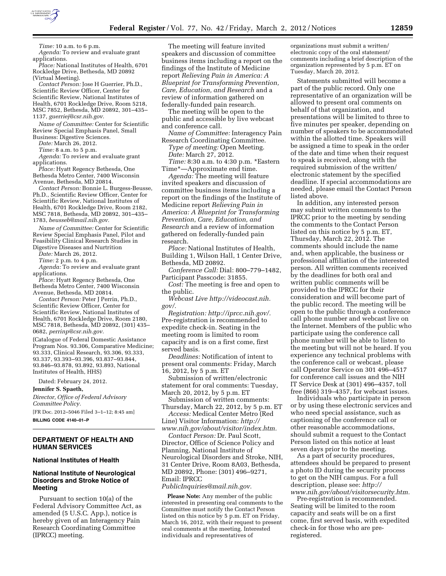

*Time:* 10 a.m. to 6 p.m.

*Agenda:* To review and evaluate grant applications. *Place:* National Institutes of Health, 6701

Rockledge Drive, Bethesda, MD 20892 (Virtual Meeting).

*Contact Person:* Jose H Guerrier, Ph.D., Scientific Review Officer, Center for Scientific Review, National Institutes of Health, 6701 Rockledge Drive, Room 5218, MSC 7852, Bethesda, MD 20892, 301–435– 1137, *[guerriej@csr.nih.gov.](mailto:guerriej@csr.nih.gov)* 

*Name of Committee:* Center for Scientific Review Special Emphasis Panel, Small Business: Digestive Sciences.

*Date:* March 26, 2012.

*Time:* 8 a.m. to 5 p.m.

*Agenda:* To review and evaluate grant applications.

*Place:* Hyatt Regency Bethesda, One Bethesda Metro Center, 7400 Wisconsin Avenue, Bethesda, MD 20814.

*Contact Person:* Bonnie L. Burgess-Beusse, Ph.D., Scientific Review Officer, Center for Scientific Review, National Institutes of Health, 6701 Rockledge Drive, Room 2182, MSC 7818, Bethesda, MD 20892, 301–435– 1783, *[beusseb@mail.nih.gov.](mailto:beusseb@mail.nih.gov)* 

*Name of Committee:* Center for Scientific Review Special Emphasis Panel, Pilot and Feasibility Clinical Research Studies in Digestive Diseases and Nurtrition

*Date:* March 26, 2012.

*Time:* 2 p.m. to 4 p.m.

*Agenda:* To review and evaluate grant applications.

*Place:* Hyatt Regency Bethesda, One Bethesda Metro Center, 7400 Wisconsin Avenue, Bethesda, MD 20814.

*Contact Person:* Peter J Perrin, Ph.D., Scientific Review Officer, Center for Scientific Review, National Institutes of Health, 6701 Rockledge Drive, Room 2180, MSC 7818, Bethesda, MD 20892, (301) 435– 0682, *[perrinp@csr.nih.gov.](mailto:perrinp@csr.nih.gov)* 

(Catalogue of Federal Domestic Assistance Program Nos. 93.306, Comparative Medicine; 93.333, Clinical Research, 93.306, 93.333, 93.337, 93.393–93.396, 93.837–93.844, 93.846–93.878, 93.892, 93.893, National Institutes of Health, HHS)

Dated: February 24, 2012.

**Jennifer S. Spaeth,** 

*Director, Office of Federal Advisory Committee Policy.* 

[FR Doc. 2012–5046 Filed 3–1–12; 8:45 am] **BILLING CODE 4140–01–P** 

## **DEPARTMENT OF HEALTH AND HUMAN SERVICES**

#### **National Institutes of Health**

## **National Institute of Neurological Disorders and Stroke Notice of Meeting**

Pursuant to section 10(a) of the Federal Advisory Committee Act, as amended (5 U.S.C. App.), notice is hereby given of an Interagency Pain Research Coordinating Committee (IPRCC) meeting.

The meeting will feature invited speakers and discussion of committee business items including a report on the findings of the Institute of Medicine report *Relieving Pain in America: A Blueprint for Transforming Prevention, Care, Education, and Research* and a review of information gathered on federally-funded pain research.

The meeting will be open to the public and accessible by live webcast and conference call.

*Name of Committee:* Interagency Pain Research Coordinating Committee. *Type of meeting:* Open Meeting.

*Date:* March 27, 2012.

*Time:* 8:30 a.m. to 4:30 p.m. \*Eastern Time\*—Approximate end time.

*Agenda:* The meeting will feature invited speakers and discussion of committee business items including a report on the findings of the Institute of Medicine report *Relieving Pain in America: A Blueprint for Transforming Prevention, Care, Education, and Research* and a review of information gathered on federally-funded pain research.

*Place:* National Institutes of Health, Building 1, Wilson Hall, 1 Center Drive, Bethesda, MD 20892.

*Conference Call:* Dial: 800–779–1482, Participant Passcode: 31855.

*Cost:* The meeting is free and open to the public.

*Webcast Live [http://videocast.nih.](http://videocast.nih.gov/)  [gov/.](http://videocast.nih.gov/)* 

*Registration: [http://iprcc.nih.gov/.](http://videocast.nih.gov/)*  Pre-registration is recommended to expedite check-in. Seating in the meeting room is limited to room capacity and is on a first come, first served basis.

*Deadlines:* Notification of intent to present oral comments: Friday, March 16, 2012, by 5 p.m. ET

Submission of written/electronic statement for oral comments: Tuesday, March 20, 2012, by 5 p.m. ET

Submission of written comments: Thursday, March 22, 2012, by 5 p.m. ET

*Access:* Medical Center Metro (Red Line) Visitor Information: *[http://](http://www.nih.gov/about/visitor/index.htm)  [www.nih.gov/about/visitor/index.htm.](http://www.nih.gov/about/visitor/index.htm)* 

*Contact Person:* Dr. Paul Scott, Director, Office of Science Policy and Planning, National Institute of Neurological Disorders and Stroke, NIH, 31 Center Drive, Room 8A03, Bethesda, MD 20892, Phone: (301) 496–9271, Email: IPRCC

#### *[PublicInquiries@mail.nih.gov.](mailto:PublicInquiries@mail.nih.gov)*

**Please Note:** Any member of the public interested in presenting oral comments to the Committee must notify the Contact Person listed on this notice by 5 p.m. ET on Friday, March 16, 2012, with their request to present oral comments at the meeting. Interested individuals and representatives of

organizations must submit a written/ electronic copy of the oral statement/ comments including a brief description of the organization represented by 5 p.m. ET on Tuesday, March 20, 2012.

Statements submitted will become a part of the public record. Only one representative of an organization will be allowed to present oral comments on behalf of that organization, and presentations will be limited to three to five minutes per speaker, depending on number of speakers to be accommodated within the allotted time. Speakers will be assigned a time to speak in the order of the date and time when their request to speak is received, along with the required submission of the written/ electronic statement by the specified deadline. If special accommodations are needed, please email the Contact Person listed above.

In addition, any interested person may submit written comments to the IPRCC prior to the meeting by sending the comments to the Contact Person listed on this notice by 5 p.m. ET, Thursday, March 22, 2012. The comments should include the name and, when applicable, the business or professional affiliation of the interested person. All written comments received by the deadlines for both oral and written public comments will be provided to the IPRCC for their consideration and will become part of the public record. The meeting will be open to the public through a conference call phone number and webcast live on the Internet. Members of the public who participate using the conference call phone number will be able to listen to the meeting but will not be heard. If you experience any technical problems with the conference call or webcast, please call Operator Service on 301 496–4517 for conference call issues and the NIH IT Service Desk at (301) 496–4357, toll free (866) 319–4357, for webcast issues.

Individuals who participate in person or by using these electronic services and who need special assistance, such as captioning of the conference call or other reasonable accommodations, should submit a request to the Contact Person listed on this notice at least seven days prior to the meeting.

As a part of security procedures, attendees should be prepared to present a photo ID during the security process to get on the NIH campus. For a full description, please see: *[http://](http://www.nih.gov/about/visitorsecurity.htm)  [www.nih.gov/about/visitorsecurity.htm.](http://www.nih.gov/about/visitorsecurity.htm)* 

Pre-registration is recommended. Seating will be limited to the room capacity and seats will be on a first come, first served basis, with expedited check-in for those who are preregistered.